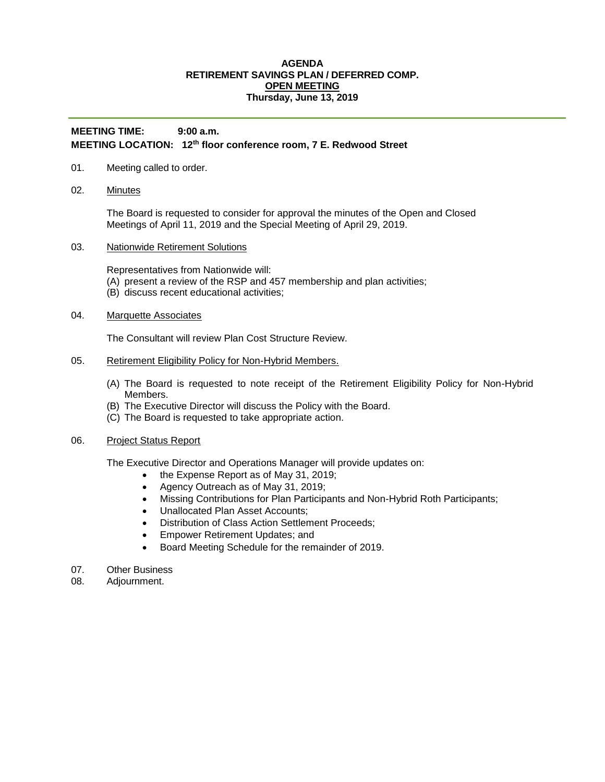## **AGENDA RETIREMENT SAVINGS PLAN / DEFERRED COMP. OPEN MEETING Thursday, June 13, 2019**

## **MEETING TIME: 9:00 a.m. MEETING LOCATION: 12th floor conference room, 7 E. Redwood Street**

## 01. Meeting called to order.

02. Minutes

The Board is requested to consider for approval the minutes of the Open and Closed Meetings of April 11, 2019 and the Special Meeting of April 29, 2019.

03. Nationwide Retirement Solutions

Representatives from Nationwide will:

- (A) present a review of the RSP and 457 membership and plan activities;
- (B) discuss recent educational activities;
- 04. Marquette Associates

The Consultant will review Plan Cost Structure Review.

- 05. Retirement Eligibility Policy for Non-Hybrid Members.
	- (A) The Board is requested to note receipt of the Retirement Eligibility Policy for Non-Hybrid Members.
	- (B) The Executive Director will discuss the Policy with the Board.
	- (C) The Board is requested to take appropriate action.
- 06. Project Status Report

The Executive Director and Operations Manager will provide updates on:

- the Expense Report as of May 31, 2019;
- Agency Outreach as of May 31, 2019;
- Missing Contributions for Plan Participants and Non-Hybrid Roth Participants;
- Unallocated Plan Asset Accounts;
- Distribution of Class Action Settlement Proceeds:
- **Empower Retirement Updates; and**
- Board Meeting Schedule for the remainder of 2019.
- 07. Other Business
- 08. Adjournment.